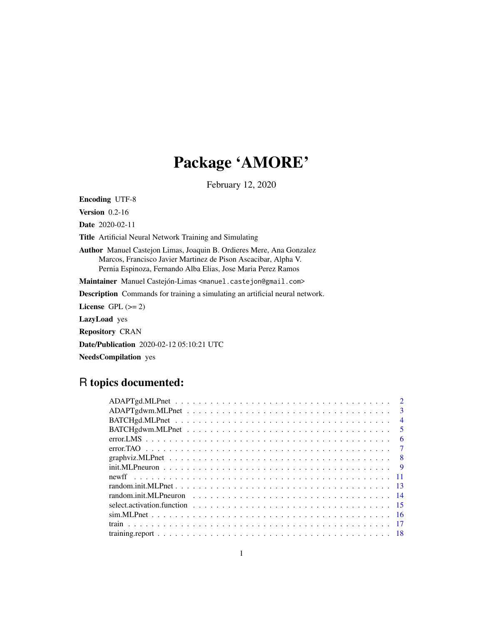# Package 'AMORE'

February 12, 2020

Encoding UTF-8

Version 0.2-16

Date 2020-02-11

Title Artificial Neural Network Training and Simulating

Author Manuel Castejon Limas, Joaquin B. Ordieres Mere, Ana Gonzalez Marcos, Francisco Javier Martinez de Pison Ascacibar, Alpha V. Pernia Espinoza, Fernando Alba Elias, Jose Maria Perez Ramos

Maintainer Manuel Castejón-Limas <manuel.castejon@gmail.com>

Description Commands for training a simulating an artificial neural network.

License GPL  $(>= 2)$ 

LazyLoad yes

Repository CRAN

Date/Publication 2020-02-12 05:10:21 UTC

NeedsCompilation yes

## R topics documented:

|  |  |  |  |  |  |  |  |  |  |  |  |  |  |  |  | $\mathcal{D}$           |
|--|--|--|--|--|--|--|--|--|--|--|--|--|--|--|--|-------------------------|
|  |  |  |  |  |  |  |  |  |  |  |  |  |  |  |  | $\mathbf{R}$            |
|  |  |  |  |  |  |  |  |  |  |  |  |  |  |  |  | $\overline{4}$          |
|  |  |  |  |  |  |  |  |  |  |  |  |  |  |  |  | $\overline{\mathbf{5}}$ |
|  |  |  |  |  |  |  |  |  |  |  |  |  |  |  |  | -6                      |
|  |  |  |  |  |  |  |  |  |  |  |  |  |  |  |  | $\tau$                  |
|  |  |  |  |  |  |  |  |  |  |  |  |  |  |  |  |                         |
|  |  |  |  |  |  |  |  |  |  |  |  |  |  |  |  | - 9                     |
|  |  |  |  |  |  |  |  |  |  |  |  |  |  |  |  |                         |
|  |  |  |  |  |  |  |  |  |  |  |  |  |  |  |  |                         |
|  |  |  |  |  |  |  |  |  |  |  |  |  |  |  |  |                         |
|  |  |  |  |  |  |  |  |  |  |  |  |  |  |  |  |                         |
|  |  |  |  |  |  |  |  |  |  |  |  |  |  |  |  |                         |
|  |  |  |  |  |  |  |  |  |  |  |  |  |  |  |  |                         |
|  |  |  |  |  |  |  |  |  |  |  |  |  |  |  |  |                         |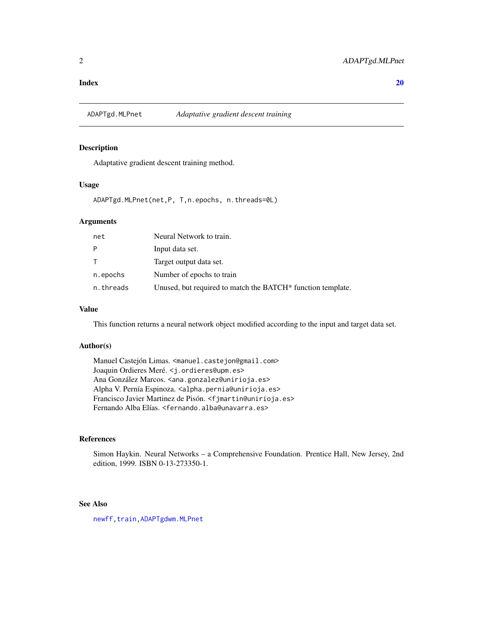#### <span id="page-1-0"></span> $\bf 1$ ndex  $\bf 20$  $\bf 20$

<span id="page-1-1"></span>ADAPTgd.MLPnet *Adaptative gradient descent training*

## Description

Adaptative gradient descent training method.

## Usage

ADAPTgd.MLPnet(net,P, T,n.epochs, n.threads=0L)

## Arguments

| net       | Neural Network to train.                                    |
|-----------|-------------------------------------------------------------|
| P         | Input data set.                                             |
| T         | Target output data set.                                     |
| n.epochs  | Number of epochs to train                                   |
| n.threads | Unused, but required to match the BATCH* function template. |

#### Value

This function returns a neural network object modified according to the input and target data set.

## Author(s)

Manuel Castejón Limas. <manuel.castejon@gmail.com> Joaquin Ordieres Meré. <j.ordieres@upm.es> Ana González Marcos. <ana.gonzalez@unirioja.es> Alpha V. Pernía Espinoza. <alpha.pernia@unirioja.es> Francisco Javier Martinez de Pisón. <fjmartin@unirioja.es> Fernando Alba Elías. <fernando.alba@unavarra.es>

## References

Simon Haykin. Neural Networks – a Comprehensive Foundation. Prentice Hall, New Jersey, 2nd edition, 1999. ISBN 0-13-273350-1.

## See Also

[newff](#page-10-1)[,train](#page-16-1), ADAPTgdwm.MLPnet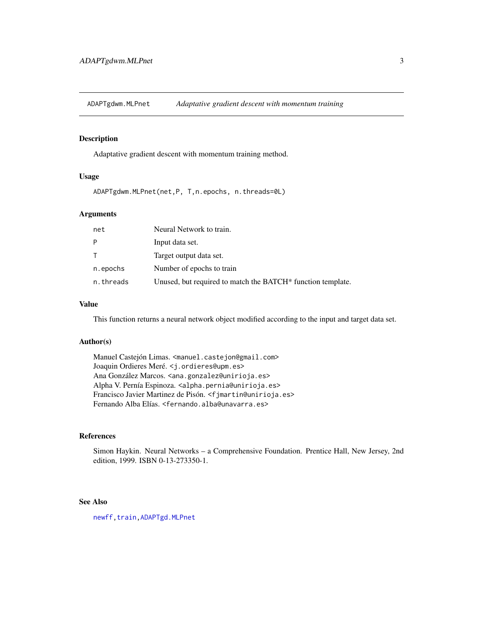<span id="page-2-1"></span><span id="page-2-0"></span>ADAPTgdwm.MLPnet *Adaptative gradient descent with momentum training*

## Description

Adaptative gradient descent with momentum training method.

## Usage

ADAPTgdwm.MLPnet(net,P, T,n.epochs, n.threads=0L)

## Arguments

| net          | Neural Network to train.                                                |
|--------------|-------------------------------------------------------------------------|
| P            | Input data set.                                                         |
| $\mathsf{T}$ | Target output data set.                                                 |
| n.epochs     | Number of epochs to train                                               |
| n.threads    | Unused, but required to match the BATCH <sup>*</sup> function template. |

## Value

This function returns a neural network object modified according to the input and target data set.

## Author(s)

Manuel Castejón Limas. <manuel.castejon@gmail.com> Joaquin Ordieres Meré. <j.ordieres@upm.es> Ana González Marcos. <ana.gonzalez@unirioja.es> Alpha V. Pernía Espinoza. <alpha.pernia@unirioja.es> Francisco Javier Martinez de Pisón. <fjmartin@unirioja.es> Fernando Alba Elías. <fernando.alba@unavarra.es>

## References

Simon Haykin. Neural Networks – a Comprehensive Foundation. Prentice Hall, New Jersey, 2nd edition, 1999. ISBN 0-13-273350-1.

## See Also

[newff](#page-10-1)[,train](#page-16-1)[,ADAPTgd.MLPnet](#page-1-1)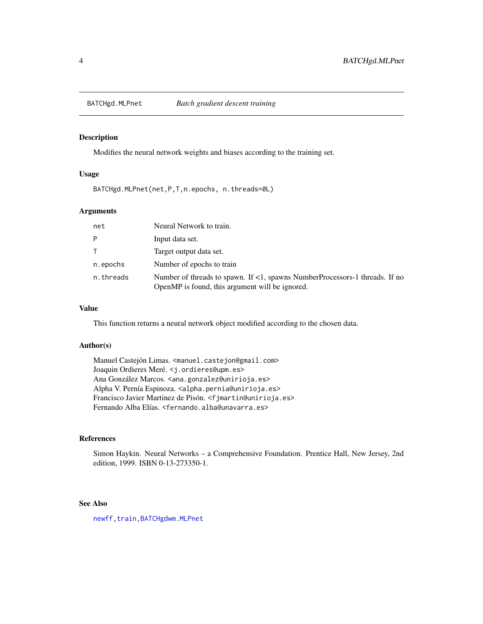<span id="page-3-1"></span><span id="page-3-0"></span>

Modifies the neural network weights and biases according to the training set.

## Usage

BATCHgd.MLPnet(net,P,T,n.epochs, n.threads=0L)

## Arguments

| net       | Neural Network to train.                                                                                                             |
|-----------|--------------------------------------------------------------------------------------------------------------------------------------|
| P         | Input data set.                                                                                                                      |
| T.        | Target output data set.                                                                                                              |
| n.epochs  | Number of epochs to train                                                                                                            |
| n.threads | Number of threads to spawn. If $\lt 1$ , spawns NumberProcessors-1 threads. If no<br>OpenMP is found, this argument will be ignored. |

## Value

This function returns a neural network object modified according to the chosen data.

## Author(s)

Manuel Castejón Limas. <manuel.castejon@gmail.com> Joaquin Ordieres Meré. <j.ordieres@upm.es> Ana González Marcos. <ana.gonzalez@unirioja.es> Alpha V. Pernía Espinoza. <alpha.pernia@unirioja.es> Francisco Javier Martinez de Pisón. <fjmartin@unirioja.es> Fernando Alba Elías. <fernando.alba@unavarra.es>

## References

Simon Haykin. Neural Networks – a Comprehensive Foundation. Prentice Hall, New Jersey, 2nd edition, 1999. ISBN 0-13-273350-1.

## See Also

[newff](#page-10-1), train, BATCHgdwm.MLPnet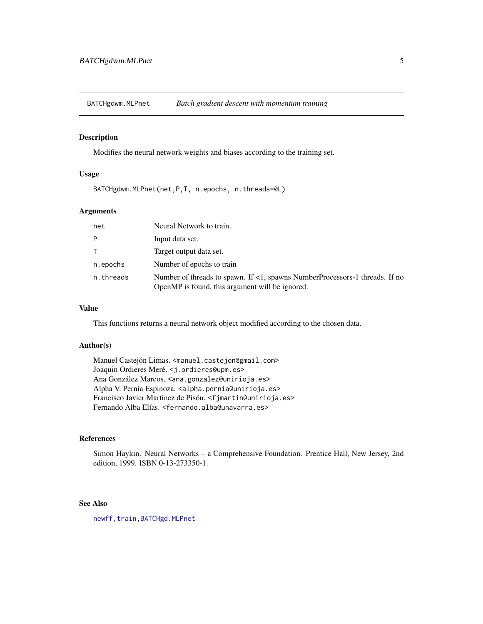<span id="page-4-1"></span><span id="page-4-0"></span>BATCHgdwm.MLPnet *Batch gradient descent with momentum training*

## Description

Modifies the neural network weights and biases according to the training set.

## Usage

BATCHgdwm.MLPnet(net,P,T, n.epochs, n.threads=0L)

## Arguments

| net       | Neural Network to train.                                                                                                              |
|-----------|---------------------------------------------------------------------------------------------------------------------------------------|
| P         | Input data set.                                                                                                                       |
| T.        | Target output data set.                                                                                                               |
| n.epochs  | Number of epochs to train                                                                                                             |
| n.threads | Number of threads to spawn. If $\leq 1$ , spawns NumberProcessors-1 threads. If no<br>OpenMP is found, this argument will be ignored. |

## Value

This functions returns a neural network object modified according to the chosen data.

## Author(s)

Manuel Castejón Limas. <manuel.castejon@gmail.com> Joaquin Ordieres Meré. <j.ordieres@upm.es> Ana González Marcos. <ana.gonzalez@unirioja.es> Alpha V. Pernía Espinoza. <alpha.pernia@unirioja.es> Francisco Javier Martinez de Pisón. <fjmartin@unirioja.es> Fernando Alba Elías. <fernando.alba@unavarra.es>

## References

Simon Haykin. Neural Networks – a Comprehensive Foundation. Prentice Hall, New Jersey, 2nd edition, 1999. ISBN 0-13-273350-1.

## See Also

[newff](#page-10-1), train, BATCHgd.MLPnet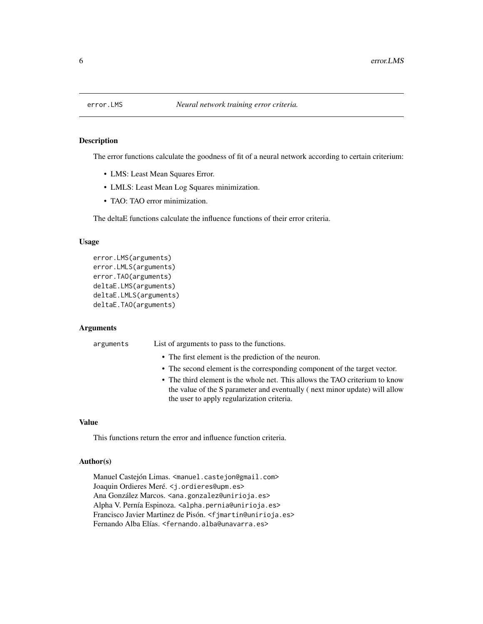<span id="page-5-1"></span><span id="page-5-0"></span>

The error functions calculate the goodness of fit of a neural network according to certain criterium:

- LMS: Least Mean Squares Error.
- LMLS: Least Mean Log Squares minimization.
- TAO: TAO error minimization.

The deltaE functions calculate the influence functions of their error criteria.

## Usage

```
error.LMS(arguments)
error.LMLS(arguments)
error.TAO(arguments)
deltaE.LMS(arguments)
deltaE.LMLS(arguments)
deltaE.TAO(arguments)
```
## Arguments

arguments List of arguments to pass to the functions.

- The first element is the prediction of the neuron.
- The second element is the corresponding component of the target vector.
- The third element is the whole net. This allows the TAO criterium to know the value of the S parameter and eventually ( next minor update) will allow the user to apply regularization criteria.

## Value

This functions return the error and influence function criteria.

#### Author(s)

Manuel Castejón Limas. <manuel.castejon@gmail.com> Joaquin Ordieres Meré. <j.ordieres@upm.es> Ana González Marcos. <ana.gonzalez@unirioja.es> Alpha V. Pernía Espinoza. <alpha.pernia@unirioja.es> Francisco Javier Martinez de Pisón. <fjmartin@unirioja.es> Fernando Alba Elías. <fernando.alba@unavarra.es>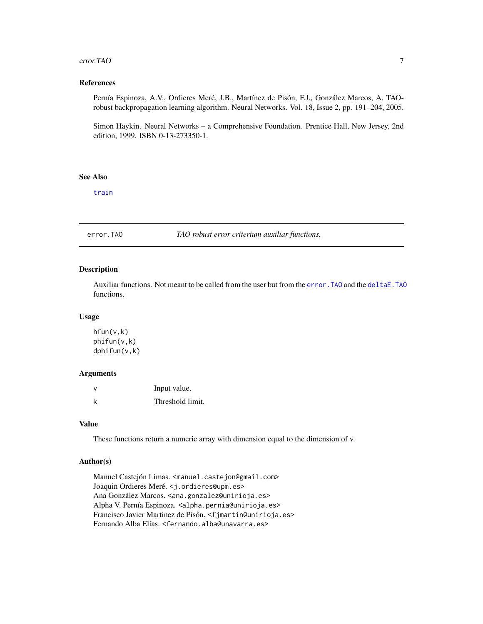#### <span id="page-6-0"></span>error.TAO 7

## References

Pernía Espinoza, A.V., Ordieres Meré, J.B., Martínez de Pisón, F.J., González Marcos, A. TAOrobust backpropagation learning algorithm. Neural Networks. Vol. 18, Issue 2, pp. 191–204, 2005.

Simon Haykin. Neural Networks – a Comprehensive Foundation. Prentice Hall, New Jersey, 2nd edition, 1999. ISBN 0-13-273350-1.

## See Also

[train](#page-16-1)

error.TAO *TAO robust error criterium auxiliar functions.*

## Description

Auxiliar functions. Not meant to be called from the user but from the [error.TAO](#page-5-1) and the [deltaE.TAO](#page-5-1) functions.

## Usage

```
hfun(v,k)
phifun(v,k)
dphifun(v,k)
```
#### Arguments

| ν | Input value.     |
|---|------------------|
| k | Threshold limit. |

## Value

These functions return a numeric array with dimension equal to the dimension of v.

## Author(s)

Manuel Castejón Limas. <manuel.castejon@gmail.com> Joaquin Ordieres Meré. <j.ordieres@upm.es> Ana González Marcos. <ana.gonzalez@unirioja.es> Alpha V. Pernía Espinoza. <alpha.pernia@unirioja.es> Francisco Javier Martinez de Pisón. <fjmartin@unirioja.es> Fernando Alba Elías. <fernando.alba@unavarra.es>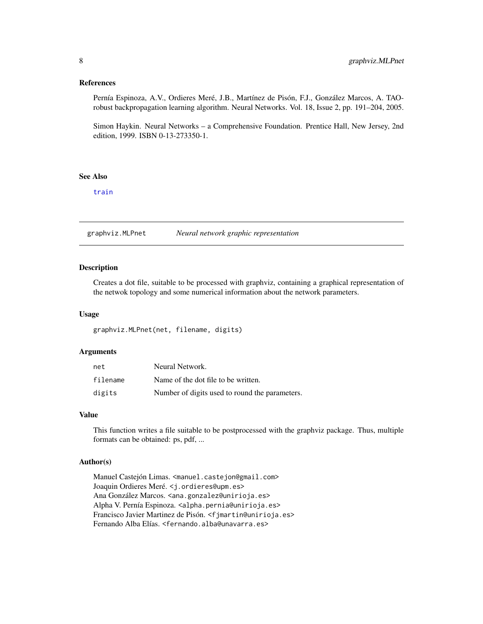## <span id="page-7-0"></span>References

Pernía Espinoza, A.V., Ordieres Meré, J.B., Martínez de Pisón, F.J., González Marcos, A. TAOrobust backpropagation learning algorithm. Neural Networks. Vol. 18, Issue 2, pp. 191–204, 2005.

Simon Haykin. Neural Networks – a Comprehensive Foundation. Prentice Hall, New Jersey, 2nd edition, 1999. ISBN 0-13-273350-1.

## See Also

[train](#page-16-1)

graphviz.MLPnet *Neural network graphic representation*

## Description

Creates a dot file, suitable to be processed with graphviz, containing a graphical representation of the netwok topology and some numerical information about the network parameters.

#### Usage

graphviz.MLPnet(net, filename, digits)

## Arguments

| net      | Neural Network.                                |
|----------|------------------------------------------------|
| filename | Name of the dot file to be written.            |
| digits   | Number of digits used to round the parameters. |

## Value

This function writes a file suitable to be postprocessed with the graphviz package. Thus, multiple formats can be obtained: ps, pdf, ...

## Author(s)

Manuel Castejón Limas. <manuel.castejon@gmail.com> Joaquin Ordieres Meré. <j.ordieres@upm.es> Ana González Marcos. <ana.gonzalez@unirioja.es> Alpha V. Pernía Espinoza. <alpha.pernia@unirioja.es> Francisco Javier Martinez de Pisón. <fjmartin@unirioja.es> Fernando Alba Elías. <fernando.alba@unavarra.es>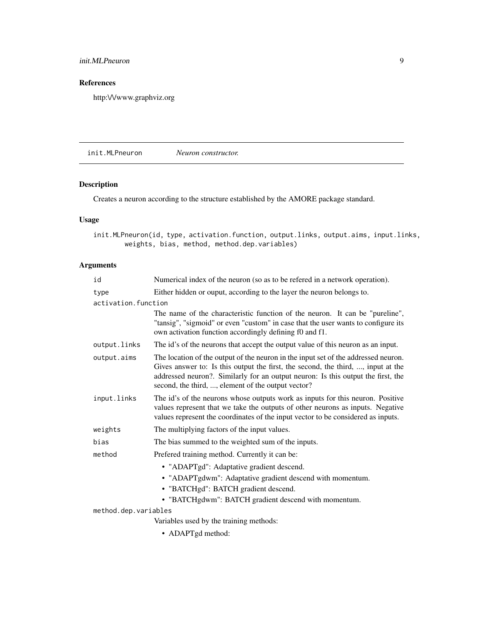## <span id="page-8-0"></span>init.MLPneuron 9

## References

http:\/\/www.graphviz.org

<span id="page-8-1"></span>init.MLPneuron *Neuron constructor.*

## Description

Creates a neuron according to the structure established by the AMORE package standard.

## Usage

init.MLPneuron(id, type, activation.function, output.links, output.aims, input.links, weights, bias, method, method.dep.variables)

## Arguments

| id                   | Numerical index of the neuron (so as to be refered in a network operation).                                                                                                                                                                                                                                      |
|----------------------|------------------------------------------------------------------------------------------------------------------------------------------------------------------------------------------------------------------------------------------------------------------------------------------------------------------|
| type                 | Either hidden or ouput, according to the layer the neuron belongs to.                                                                                                                                                                                                                                            |
| activation.function  |                                                                                                                                                                                                                                                                                                                  |
|                      | The name of the characteristic function of the neuron. It can be "pureline",<br>"tansig", "sigmoid" or even "custom" in case that the user wants to configure its<br>own activation function accordingly defining f0 and f1.                                                                                     |
| output.links         | The id's of the neurons that accept the output value of this neuron as an input.                                                                                                                                                                                                                                 |
| output.aims          | The location of the output of the neuron in the input set of the addressed neuron.<br>Gives answer to: Is this output the first, the second, the third, , input at the<br>addressed neuron?. Similarly for an output neuron: Is this output the first, the<br>second, the third, , element of the output vector? |
| input.links          | The id's of the neurons whose outputs work as inputs for this neuron. Positive<br>values represent that we take the outputs of other neurons as inputs. Negative<br>values represent the coordinates of the input vector to be considered as inputs.                                                             |
| weights              | The multiplying factors of the input values.                                                                                                                                                                                                                                                                     |
| bias                 | The bias summed to the weighted sum of the inputs.                                                                                                                                                                                                                                                               |
| method               | Prefered training method. Currently it can be:                                                                                                                                                                                                                                                                   |
|                      | • "ADAPTgd": Adaptative gradient descend.                                                                                                                                                                                                                                                                        |
|                      | • "ADAPTgdwm": Adaptative gradient descend with momentum.                                                                                                                                                                                                                                                        |
|                      | • "BATCHgd": BATCH gradient descend.                                                                                                                                                                                                                                                                             |
|                      | • "BATCHgdwm": BATCH gradient descend with momentum.                                                                                                                                                                                                                                                             |
| method.dep.variables |                                                                                                                                                                                                                                                                                                                  |
|                      | Variables used by the training methods:                                                                                                                                                                                                                                                                          |

• ADAPTgd method: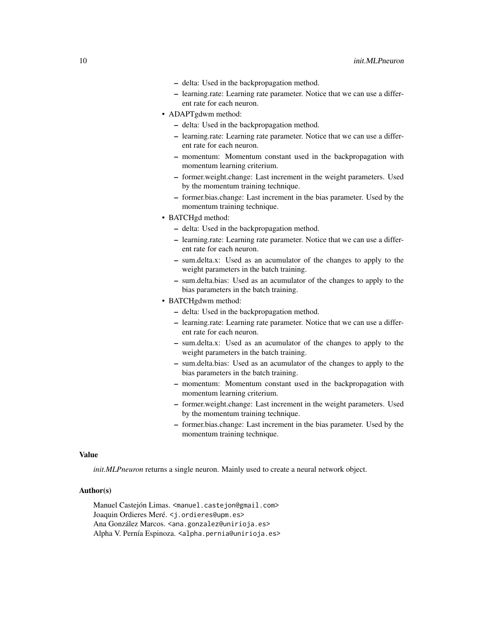- delta: Used in the backpropagation method.
- learning.rate: Learning rate parameter. Notice that we can use a different rate for each neuron.
- ADAPTgdwm method:
	- delta: Used in the backpropagation method.
	- learning.rate: Learning rate parameter. Notice that we can use a different rate for each neuron.
	- momentum: Momentum constant used in the backpropagation with momentum learning criterium.
	- former.weight.change: Last increment in the weight parameters. Used by the momentum training technique.
	- former.bias.change: Last increment in the bias parameter. Used by the momentum training technique.
- BATCHgd method:
	- delta: Used in the backpropagation method.
	- learning.rate: Learning rate parameter. Notice that we can use a different rate for each neuron.
	- sum.delta.x: Used as an acumulator of the changes to apply to the weight parameters in the batch training.
	- sum.delta.bias: Used as an acumulator of the changes to apply to the bias parameters in the batch training.
- BATCHgdwm method:
	- delta: Used in the backpropagation method.
	- learning.rate: Learning rate parameter. Notice that we can use a different rate for each neuron.
	- sum.delta.x: Used as an acumulator of the changes to apply to the weight parameters in the batch training.
	- sum.delta.bias: Used as an acumulator of the changes to apply to the bias parameters in the batch training.
	- momentum: Momentum constant used in the backpropagation with momentum learning criterium.
	- former.weight.change: Last increment in the weight parameters. Used by the momentum training technique.
	- former.bias.change: Last increment in the bias parameter. Used by the momentum training technique.

## Value

*init.MLPneuron* returns a single neuron. Mainly used to create a neural network object.

## Author(s)

Manuel Castejón Limas. <manuel.castejon@gmail.com> Joaquin Ordieres Meré. <j.ordieres@upm.es> Ana González Marcos. <ana.gonzalez@unirioja.es> Alpha V. Pernía Espinoza. <alpha.pernia@unirioja.es>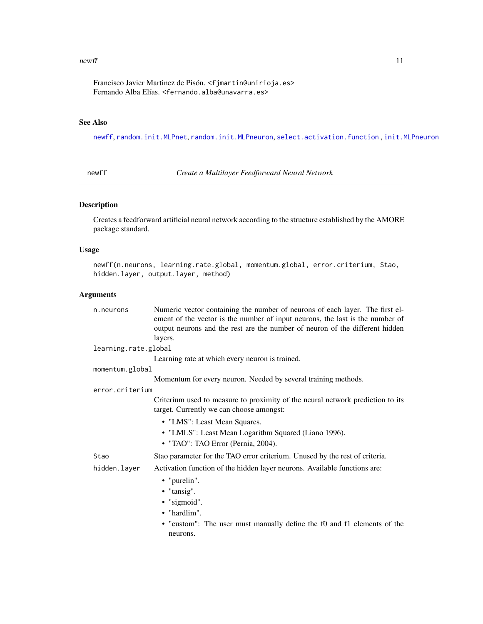#### <span id="page-10-0"></span> $newff$  11

Francisco Javier Martinez de Pisón. <fjmartin@unirioja.es> Fernando Alba Elías. <fernando.alba@unavarra.es>

## See Also

[newff](#page-10-1), [random.init.MLPnet](#page-12-1), [random.init.MLPneuron](#page-13-1), [select.activation.function](#page-14-1) , [init.MLPneuron](#page-8-1)

<span id="page-10-1"></span>newff *Create a Multilayer Feedforward Neural Network*

## Description

Creates a feedforward artificial neural network according to the structure established by the AMORE package standard.

## Usage

```
newff(n.neurons, learning.rate.global, momentum.global, error.criterium, Stao,
hidden.layer, output.layer, method)
```
## Arguments

| n.neurons            | Numeric vector containing the number of neurons of each layer. The first el-<br>ement of the vector is the number of input neurons, the last is the number of<br>output neurons and the rest are the number of neuron of the different hidden<br>layers. |
|----------------------|----------------------------------------------------------------------------------------------------------------------------------------------------------------------------------------------------------------------------------------------------------|
| learning.rate.global |                                                                                                                                                                                                                                                          |
|                      | Learning rate at which every neuron is trained.                                                                                                                                                                                                          |
| momentum.global      |                                                                                                                                                                                                                                                          |
|                      | Momentum for every neuron. Needed by several training methods.                                                                                                                                                                                           |
| error.criterium      |                                                                                                                                                                                                                                                          |
|                      | Criterium used to measure to proximity of the neural network prediction to its<br>target. Currently we can choose amongst:                                                                                                                               |
|                      | • "LMS": Least Mean Squares.                                                                                                                                                                                                                             |
|                      | • "LMLS": Least Mean Logarithm Squared (Liano 1996).                                                                                                                                                                                                     |
|                      | • "TAO": TAO Error (Pernia, 2004).                                                                                                                                                                                                                       |
| Stao                 | Stao parameter for the TAO error criterium. Unused by the rest of criteria.                                                                                                                                                                              |
| hidden.layer         | Activation function of the hidden layer neurons. Available functions are:                                                                                                                                                                                |
|                      | • "purelin".                                                                                                                                                                                                                                             |
|                      | • "tansig".                                                                                                                                                                                                                                              |
|                      | • "sigmoid".                                                                                                                                                                                                                                             |
|                      | • "hardlim".                                                                                                                                                                                                                                             |
|                      | • "custom": The user must manually define the f0 and f1 elements of the                                                                                                                                                                                  |
|                      | neurons.                                                                                                                                                                                                                                                 |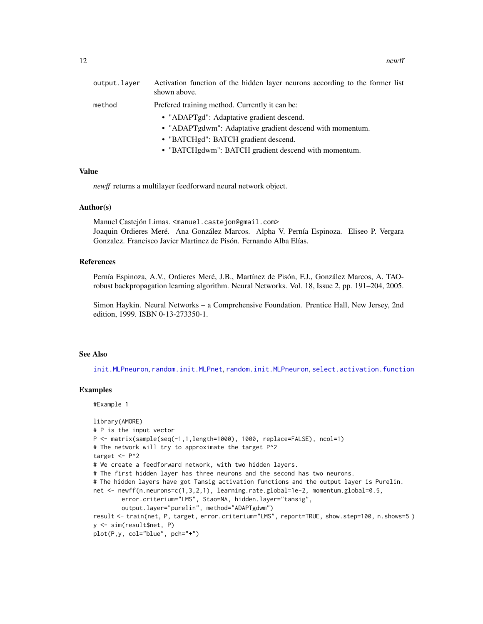<span id="page-11-0"></span>

| output.layer | Activation function of the hidden layer neurons according to the former list<br>shown above. |
|--------------|----------------------------------------------------------------------------------------------|
| method       | Prefered training method. Currently it can be:                                               |
|              | • "ADAPTgd": Adaptative gradient descend.                                                    |
|              | • "ADAPTgdwm": Adaptative gradient descend with momentum.                                    |
|              | • "BATCHgd": BATCH gradient descend.                                                         |
|              | • "BATCHgdwm": BATCH gradient descend with momentum.                                         |

#### Value

*newff* returns a multilayer feedforward neural network object.

#### Author(s)

Manuel Castejón Limas. <manuel.castejon@gmail.com> Joaquin Ordieres Meré. Ana González Marcos. Alpha V. Pernía Espinoza. Eliseo P. Vergara Gonzalez. Francisco Javier Martinez de Pisón. Fernando Alba Elías.

#### References

Pernía Espinoza, A.V., Ordieres Meré, J.B., Martínez de Pisón, F.J., González Marcos, A. TAOrobust backpropagation learning algorithm. Neural Networks. Vol. 18, Issue 2, pp. 191–204, 2005.

Simon Haykin. Neural Networks – a Comprehensive Foundation. Prentice Hall, New Jersey, 2nd edition, 1999. ISBN 0-13-273350-1.

#### See Also

[init.MLPneuron](#page-8-1), [random.init.MLPnet](#page-12-1), [random.init.MLPneuron](#page-13-1), [select.activation.function](#page-14-1)

## Examples

#Example 1

```
library(AMORE)
# P is the input vector
P <- matrix(sample(seq(-1,1,length=1000), 1000, replace=FALSE), ncol=1)
# The network will try to approximate the target P^2
target <- P^2
# We create a feedforward network, with two hidden layers.
# The first hidden layer has three neurons and the second has two neurons.
# The hidden layers have got Tansig activation functions and the output layer is Purelin.
net <- newff(n.neurons=c(1,3,2,1), learning.rate.global=1e-2, momentum.global=0.5,
        error.criterium="LMS", Stao=NA, hidden.layer="tansig",
        output.layer="purelin", method="ADAPTgdwm")
result <- train(net, P, target, error.criterium="LMS", report=TRUE, show.step=100, n.shows=5)
y <- sim(result$net, P)
plot(P,y, col="blue", pch="+")
```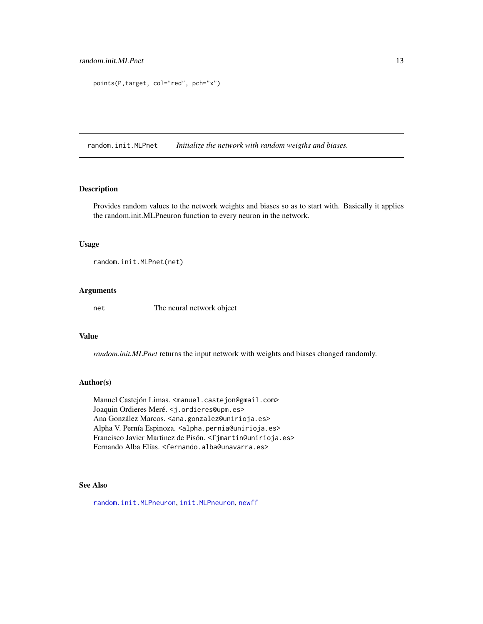```
points(P,target, col="red", pch="x")
```
<span id="page-12-1"></span>random.init.MLPnet *Initialize the network with random weigths and biases.*

#### Description

Provides random values to the network weights and biases so as to start with. Basically it applies the random.init.MLPneuron function to every neuron in the network.

#### Usage

```
random.init.MLPnet(net)
```
## Arguments

net The neural network object

#### Value

*random.init.MLPnet* returns the input network with weights and biases changed randomly.

## Author(s)

Manuel Castejón Limas. <manuel.castejon@gmail.com> Joaquin Ordieres Meré. <j.ordieres@upm.es> Ana González Marcos. <ana.gonzalez@unirioja.es> Alpha V. Pernía Espinoza. <alpha.pernia@unirioja.es> Francisco Javier Martinez de Pisón. <fjmartin@unirioja.es> Fernando Alba Elías. <fernando.alba@unavarra.es>

## See Also

[random.init.MLPneuron](#page-13-1), [init.MLPneuron](#page-8-1), [newff](#page-10-1)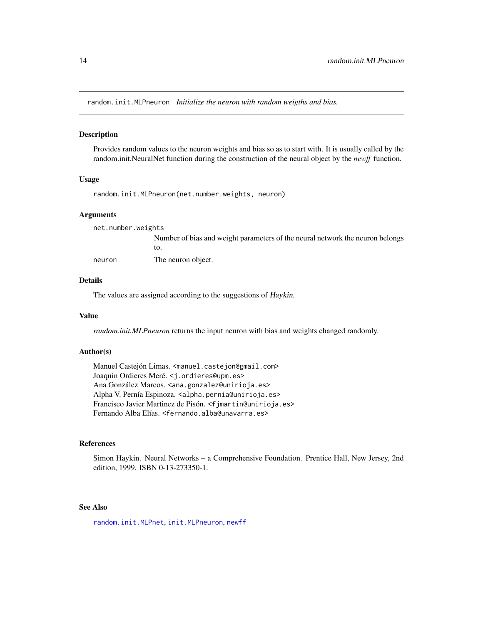<span id="page-13-1"></span><span id="page-13-0"></span>random.init.MLPneuron *Initialize the neuron with random weigths and bias.*

#### Description

Provides random values to the neuron weights and bias so as to start with. It is usually called by the random.init.NeuralNet function during the construction of the neural object by the *newff* function.

#### Usage

random.init.MLPneuron(net.number.weights, neuron)

#### Arguments

net.number.weights Number of bias and weight parameters of the neural network the neuron belongs to. neuron The neuron object.

#### Details

The values are assigned according to the suggestions of Haykin.

#### Value

*random.init.MLPneuron* returns the input neuron with bias and weights changed randomly.

## Author(s)

Manuel Castejón Limas. <manuel.castejon@gmail.com> Joaquin Ordieres Meré. <j.ordieres@upm.es> Ana González Marcos. <ana.gonzalez@unirioja.es> Alpha V. Pernía Espinoza. <alpha.pernia@unirioja.es> Francisco Javier Martinez de Pisón. <fjmartin@unirioja.es> Fernando Alba Elías. <fernando.alba@unavarra.es>

#### References

Simon Haykin. Neural Networks – a Comprehensive Foundation. Prentice Hall, New Jersey, 2nd edition, 1999. ISBN 0-13-273350-1.

#### See Also

[random.init.MLPnet](#page-12-1), [init.MLPneuron](#page-8-1), [newff](#page-10-1)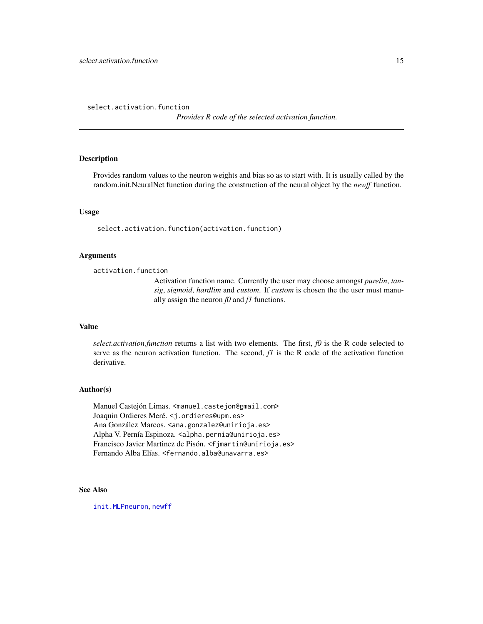<span id="page-14-1"></span><span id="page-14-0"></span>select.activation.function

*Provides R code of the selected activation function.*

## Description

Provides random values to the neuron weights and bias so as to start with. It is usually called by the random.init.NeuralNet function during the construction of the neural object by the *newff* function.

## Usage

select.activation.function(activation.function)

## Arguments

activation.function

Activation function name. Currently the user may choose amongst *purelin*, *tansig*, *sigmoid*, *hardlim* and *custom*. If *custom* is chosen the the user must manually assign the neuron *f0* and *f1* functions.

#### Value

*select.activation.function* returns a list with two elements. The first,  $f0$  is the R code selected to serve as the neuron activation function. The second,  $fI$  is the R code of the activation function derivative.

## Author(s)

Manuel Castejón Limas. <manuel.castejon@gmail.com> Joaquin Ordieres Meré. <j.ordieres@upm.es> Ana González Marcos. <ana.gonzalez@unirioja.es> Alpha V. Pernía Espinoza. <alpha.pernia@unirioja.es> Francisco Javier Martinez de Pisón. <f jmartin@unirioja.es> Fernando Alba Elías. <fernando.alba@unavarra.es>

## See Also

[init.MLPneuron](#page-8-1), [newff](#page-10-1)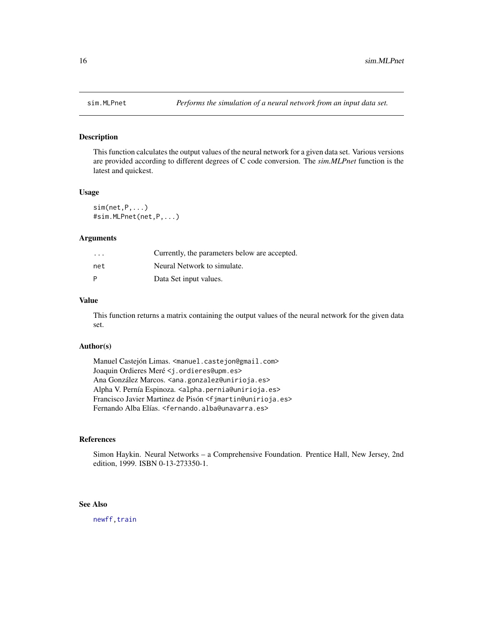<span id="page-15-0"></span>

This function calculates the output values of the neural network for a given data set. Various versions are provided according to different degrees of C code conversion. The *sim.MLPnet* function is the latest and quickest.

#### Usage

 $sim(net,P,...)$ #sim.MLPnet(net,P,...)

#### Arguments

| $\cdot$ $\cdot$ $\cdot$ | Currently, the parameters below are accepted. |
|-------------------------|-----------------------------------------------|
| net                     | Neural Network to simulate.                   |
| P                       | Data Set input values.                        |

## Value

This function returns a matrix containing the output values of the neural network for the given data set.

## Author(s)

Manuel Castejón Limas. <manuel.castejon@gmail.com> Joaquin Ordieres Meré <j.ordieres@upm.es> Ana González Marcos. <ana.gonzalez@unirioja.es> Alpha V. Pernía Espinoza. <alpha.pernia@unirioja.es> Francisco Javier Martinez de Pisón <fjmartin@unirioja.es> Fernando Alba Elías. <fernando.alba@unavarra.es>

#### References

Simon Haykin. Neural Networks – a Comprehensive Foundation. Prentice Hall, New Jersey, 2nd edition, 1999. ISBN 0-13-273350-1.

## See Also

[newff](#page-10-1)[,train](#page-16-1)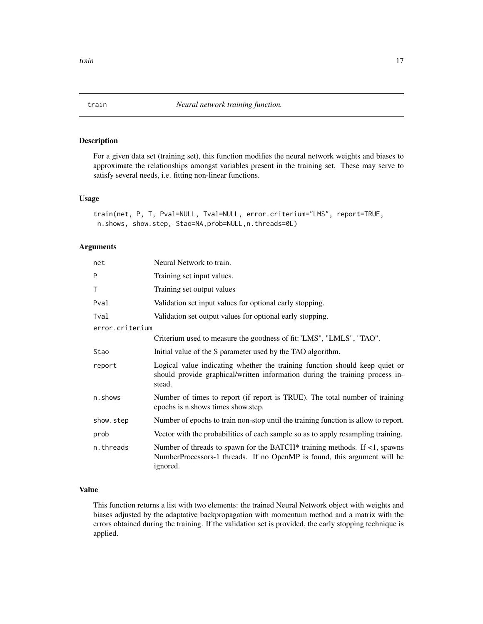<span id="page-16-1"></span><span id="page-16-0"></span>For a given data set (training set), this function modifies the neural network weights and biases to approximate the relationships amongst variables present in the training set. These may serve to satisfy several needs, i.e. fitting non-linear functions.

## Usage

```
train(net, P, T, Pval=NULL, Tval=NULL, error.criterium="LMS", report=TRUE,
n.shows, show.step, Stao=NA,prob=NULL,n.threads=0L)
```
## Arguments

| net             | Neural Network to train.                                                                                                                                                    |
|-----------------|-----------------------------------------------------------------------------------------------------------------------------------------------------------------------------|
| P               | Training set input values.                                                                                                                                                  |
| T               | Training set output values                                                                                                                                                  |
| Pval            | Validation set input values for optional early stopping.                                                                                                                    |
| Tval            | Validation set output values for optional early stopping.                                                                                                                   |
| error.criterium |                                                                                                                                                                             |
|                 | Criterium used to measure the goodness of fit: "LMS", "LMLS", "TAO".                                                                                                        |
| Stao            | Initial value of the S parameter used by the TAO algorithm.                                                                                                                 |
| report          | Logical value indicating whether the training function should keep quiet or<br>should provide graphical/written information during the training process in-<br>stead.       |
| n.shows         | Number of times to report (if report is TRUE). The total number of training<br>epochs is n.shows times show.step.                                                           |
| show.step       | Number of epochs to train non-stop until the training function is allow to report.                                                                                          |
| prob            | Vector with the probabilities of each sample so as to apply resampling training.                                                                                            |
| n.threads       | Number of threads to spawn for the BATCH* training methods. If $\langle 1$ , spawns<br>NumberProcessors-1 threads. If no OpenMP is found, this argument will be<br>ignored. |

## Value

This function returns a list with two elements: the trained Neural Network object with weights and biases adjusted by the adaptative backpropagation with momentum method and a matrix with the errors obtained during the training. If the validation set is provided, the early stopping technique is applied.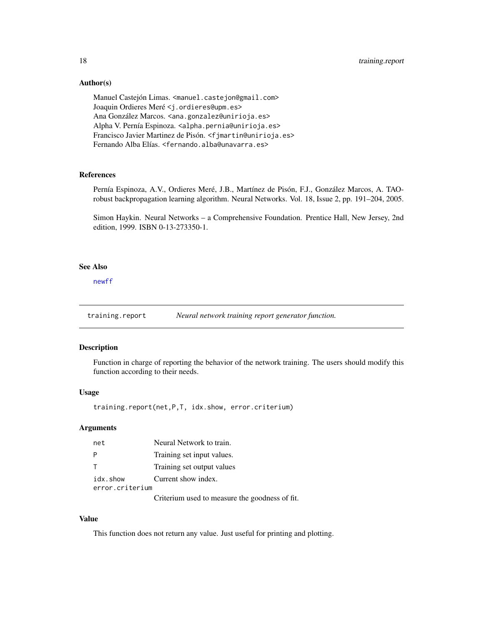<span id="page-17-0"></span>18 training.report

## Author(s)

Manuel Castejón Limas. <manuel.castejon@gmail.com> Joaquin Ordieres Meré <j.ordieres@upm.es> Ana González Marcos. <ana.gonzalez@unirioja.es> Alpha V. Pernía Espinoza. <alpha.pernia@unirioja.es> Francisco Javier Martinez de Pisón. <fjmartin@unirioja.es> Fernando Alba Elías. <fernando.alba@unavarra.es>

## References

Pernía Espinoza, A.V., Ordieres Meré, J.B., Martínez de Pisón, F.J., González Marcos, A. TAOrobust backpropagation learning algorithm. Neural Networks. Vol. 18, Issue 2, pp. 191–204, 2005.

Simon Haykin. Neural Networks – a Comprehensive Foundation. Prentice Hall, New Jersey, 2nd edition, 1999. ISBN 0-13-273350-1.

## See Also

[newff](#page-10-1)

training.report *Neural network training report generator function.*

#### Description

Function in charge of reporting the behavior of the network training. The users should modify this function according to their needs.

## Usage

training.report(net,P,T, idx.show, error.criterium)

#### **Arguments**

| net             | Neural Network to train.                       |
|-----------------|------------------------------------------------|
| P               | Training set input values.                     |
| T.              | Training set output values                     |
| idx.show        | Current show index.                            |
| error.criterium |                                                |
|                 | Criterium used to measure the goodness of fit. |

Value

This function does not return any value. Just useful for printing and plotting.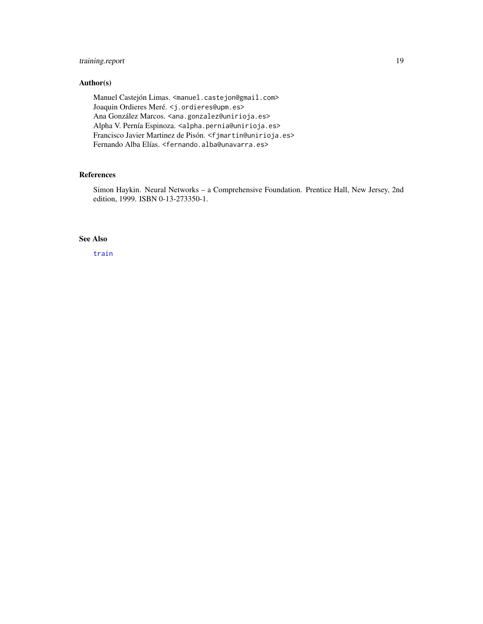## <span id="page-18-0"></span>training.report 19

## Author(s)

Manuel Castejón Limas. <manuel.castejon@gmail.com> Joaquin Ordieres Meré. <j.ordieres@upm.es> Ana González Marcos. <ana.gonzalez@unirioja.es> Alpha V. Pernía Espinoza. <alpha.pernia@unirioja.es> Francisco Javier Martinez de Pisón. <fjmartin@unirioja.es> Fernando Alba Elías. <fernando.alba@unavarra.es>

## References

Simon Haykin. Neural Networks – a Comprehensive Foundation. Prentice Hall, New Jersey, 2nd edition, 1999. ISBN 0-13-273350-1.

## See Also

[train](#page-16-1)